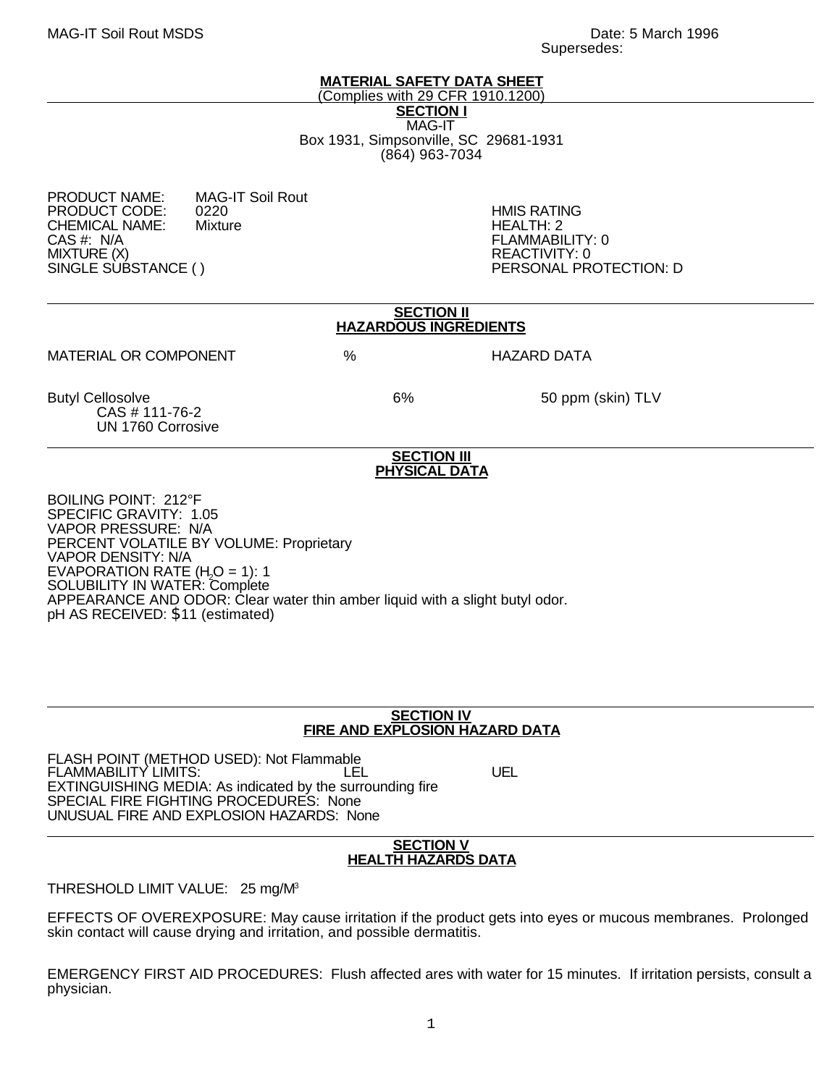## **MATERIAL SAFETY DATA SHEET**

(Complies with 29 CFR 1910.1200) **SECTION I** MAG-IT Box 1931, Simpsonville, SC 29681-1931 (864) 963-7034

# PRODUCT NAME: MAG-IT Soil Rout PRODUCT CODE: 0220 HMIS RATING<br>CHEMICAL NAME: Mixture the change of the HEALTH: 2 CHEMICAL NAME:<br>CAS #: N/A CAS #: N/A FLAMMABILITY: 0 MIXTURE (X)<br>SINGLE SUBSTANCE ( ) PERSONAL PR

PERSONAL PROTECTION: D

| <b>SECTION II</b><br><b>HAZARDOUS INGREDIENTS</b>                                                                                                                                                                                                                                                                       |   |                                            |                    |  |
|-------------------------------------------------------------------------------------------------------------------------------------------------------------------------------------------------------------------------------------------------------------------------------------------------------------------------|---|--------------------------------------------|--------------------|--|
| <b>MATERIAL OR COMPONENT</b>                                                                                                                                                                                                                                                                                            | % |                                            | <b>HAZARD DATA</b> |  |
| <b>Butyl Cellosolve</b><br>CAS # 111-76-2<br>UN 1760 Corrosive                                                                                                                                                                                                                                                          |   | 6%                                         | 50 ppm (skin) TLV  |  |
|                                                                                                                                                                                                                                                                                                                         |   | <b>SECTION III</b><br><b>PHYSICAL DATA</b> |                    |  |
| <b>BOILING POINT: 212°F</b><br>SPECIFIC GRAVITY: 1.05<br>VAPOR PRESSURE: N/A<br><b>PERCENT VOLATILE BY VOLUME: Proprietary</b><br><b>VAPOR DENSITY: N/A</b><br>EVAPORATION RATE $(H2O = 1)$ : 1<br><b>SOLUBILITY IN WATER: Complete</b><br>APPEARANCE AND ODOR: Clear water thin amber liquid with a slight butyl odor. |   |                                            |                    |  |

# **SECTION IV FIRE AND EXPLOSION HAZARD DATA**

FLASH POINT (METHOD USED): Not Flammable FLAMMABILITY LIMITS: LEL UEL EXTINGUISHING MEDIA: As indicated by the surrounding fire SPECIAL FIRE FIGHTING PROCEDURES: None UNUSUAL FIRE AND EXPLOSION HAZARDS: None

## **SECTION V HEALTH HAZARDS DATA**

THRESHOLD LIMIT VALUE: 25 mg/M<sup>3</sup>

pH AS RECEIVED: \$11 (estimated)

EFFECTS OF OVEREXPOSURE: May cause irritation if the product gets into eyes or mucous membranes. Prolonged skin contact will cause drying and irritation, and possible dermatitis.

EMERGENCY FIRST AID PROCEDURES: Flush affected ares with water for 15 minutes. If irritation persists, consult a physician.